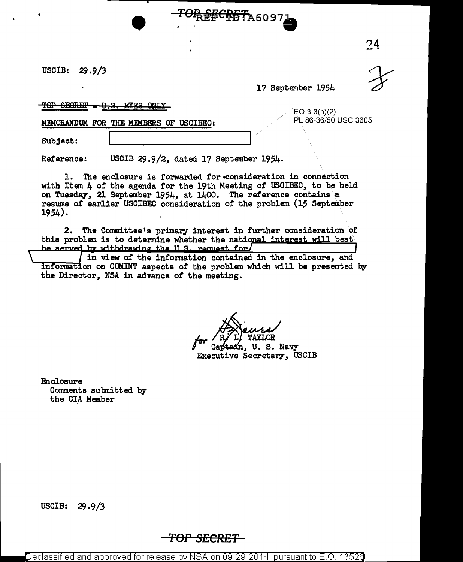USCIB: 29.9/3

17 September 1954

 $\frac{24}{1}$ 

 $\frac{1}{100}$  SBORET - U.S. EXES ONLY

MEMORANDUM FOR THE MEMBERS OF USCIBEC: PL 86-36/50 USC 3605

Subject:

Reference: USCIB 29.9/2, dated 17 September 1954.

1. The enclosure is forwarded for consideration in connection with Item  $4$  of the agenda for the 19th Meeting of USCIBEC, to be held on Tuesday, 21 September 1954, at 1400. The reference contains a resume of' earlier USCIBEC consideration of' the problem (15 September 1954). .

2. The Committee's primary interest in further consideration of' this problem is to determine whether the national interest will best be served by withdrawing the U.S. request for

in view of the information contained in the enclosure, and information on CCMINT aspects of the problem which will be presented by the Director, NSA in advance of the meeting.

S. Navy U. Executive Secretary, USCIB

Enclosure Comments submitted by the CIA Member

USCIB: 29. 9 */3* 

**TOP SECRET** 

Declassified and approved for release by NSA on 09-29-2014 pursuant to E.O. 1352(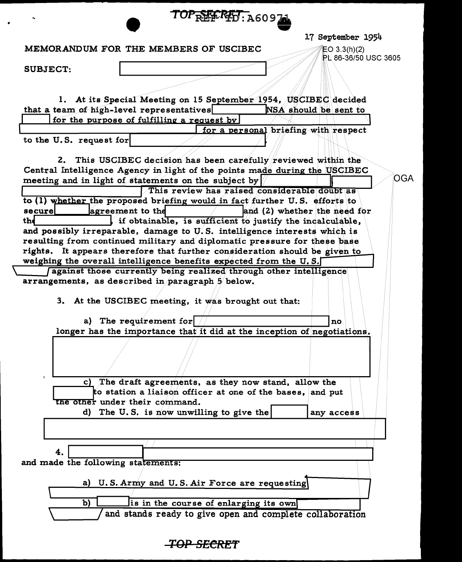|                                    |                                                                                                                                                      | 17 September 1954                       |
|------------------------------------|------------------------------------------------------------------------------------------------------------------------------------------------------|-----------------------------------------|
|                                    | MEMORANDUM FOR THE MEMBERS OF USCIBEC                                                                                                                | $E$ O 3.3(h)(2)<br>PL 86-36/50 USC 3605 |
| <b>SUBJECT:</b>                    |                                                                                                                                                      |                                         |
|                                    |                                                                                                                                                      |                                         |
|                                    |                                                                                                                                                      |                                         |
|                                    | 1. At its Special Meeting on 15 September 1954, USCIBEC decided                                                                                      |                                         |
|                                    | that a team of high-level representatives<br>for the purpose of fulfilling a request $by$                                                            | NSA should be sent to                   |
|                                    |                                                                                                                                                      | for a personal briefing with respect    |
| to the U.S. request for            |                                                                                                                                                      |                                         |
|                                    |                                                                                                                                                      |                                         |
| 2.                                 | This USCIBEC decision has been carefully reviewed within the<br>Central Intelligence Agency in light of the points made during the USCIBEC           |                                         |
|                                    | meeting and in light of statements on the subject by                                                                                                 | OGA                                     |
|                                    | This review has raised considerable doubt as                                                                                                         |                                         |
|                                    | to (1) whether the proposed briefing would in fact further U.S. efforts to                                                                           |                                         |
| secure                             | agreement to the                                                                                                                                     | and (2) whether the need for            |
| the                                | if obtainable, is sufficient to justify the incalculable,                                                                                            |                                         |
|                                    | and possibly irreparable, damage to U.S. intelligence interests which is<br>resulting from continued military and diplomatic pressure for these base |                                         |
| rights.                            | It appears therefore that further consideration should be given to                                                                                   |                                         |
|                                    | weighing the overall intelligence benefits expected from the U.S.                                                                                    |                                         |
|                                    | against those currently being realized through other intelligence                                                                                    |                                         |
|                                    | arrangements, as described in paragraph 5 below.                                                                                                     |                                         |
|                                    | 3. At the USCIBEC meeting, it was brought out that:                                                                                                  |                                         |
|                                    |                                                                                                                                                      |                                         |
| a) —                               | The requirement for                                                                                                                                  | no                                      |
|                                    | longer has the importance that it did at the inception of negotiations.                                                                              |                                         |
|                                    |                                                                                                                                                      |                                         |
|                                    |                                                                                                                                                      |                                         |
|                                    |                                                                                                                                                      |                                         |
|                                    | c) The draft agreements, as they now stand, allow the                                                                                                |                                         |
|                                    | to station a liaison officer at one of the bases, and put                                                                                            |                                         |
|                                    | the other under their command.<br>d) The U.S. is now unwilling to give the                                                                           |                                         |
|                                    |                                                                                                                                                      | any access                              |
|                                    |                                                                                                                                                      |                                         |
|                                    |                                                                                                                                                      |                                         |
|                                    |                                                                                                                                                      |                                         |
| 4.                                 |                                                                                                                                                      |                                         |
| and made the following statements: |                                                                                                                                                      |                                         |
|                                    |                                                                                                                                                      |                                         |
| a)                                 | U.S. Army and U.S. Air Force are requesting                                                                                                          |                                         |
| b)                                 | is in the course of enlarging its own                                                                                                                |                                         |

 $\sim$ 

 $\bullet$ 

TOP SECRET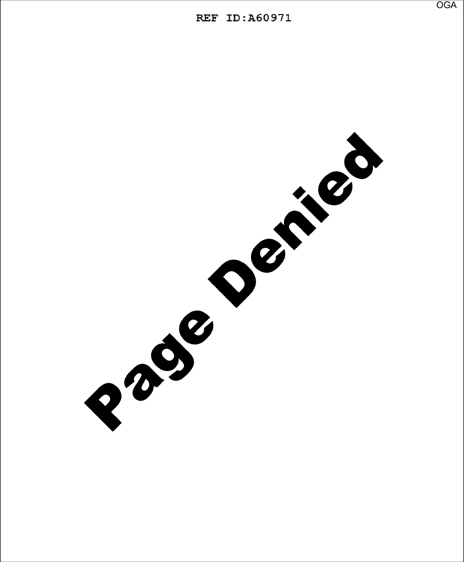